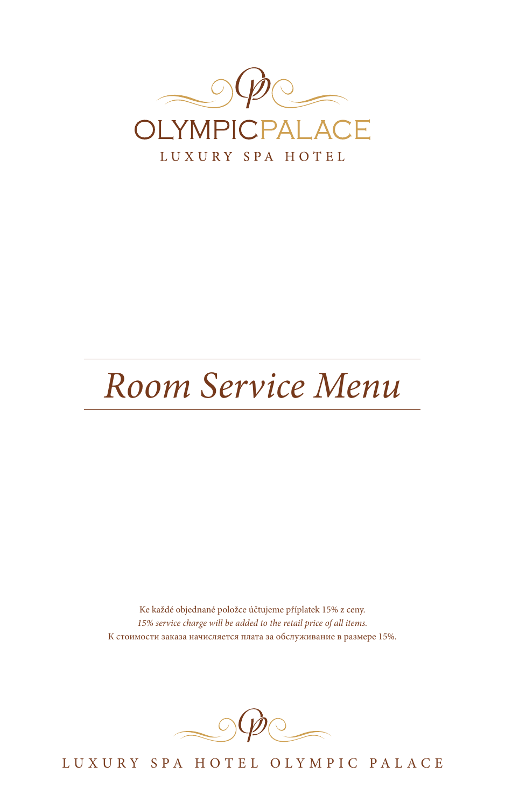

# *Room Service Menu*

Ke každé objednané položce účtujeme příplatek 15% z ceny. *15% service charge will be added to the retail price of all items.* К стоимости заказа начисляется плата за обслуживание в размере 15%.



LUXURY SPA HOTEL OLYMPIC PALACE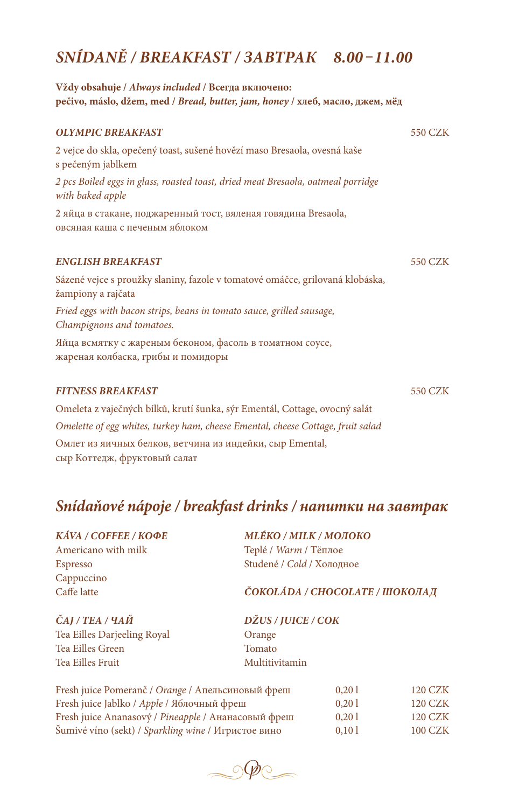# *SNÍDANĚ / BREAKFAST / ЗАВТРАК 8.00 –11.00*

| Vždy obsahuje / Always included / Всегда включено:<br>pečivo, máslo, džem, med / Bread, butter, jam, honey / хлеб, масло, джем, мёд |         |
|-------------------------------------------------------------------------------------------------------------------------------------|---------|
| <b>OLYMPIC BREAKFAST</b>                                                                                                            | 550 CZK |
| 2 vejce do skla, opečený toast, sušené hovězí maso Bresaola, ovesná kaše<br>s pečeným jablkem                                       |         |
| 2 pcs Boiled eggs in glass, roasted toast, dried meat Bresaola, oatmeal porridge<br>with baked apple                                |         |
| 2 яйца в стакане, поджаренный тост, вяленая говядина Bresaola,<br>овсяная каша с печеным яблоком                                    |         |
| <b>ENGLISH BREAKFAST</b>                                                                                                            | 550 CZK |
| Sázené vejce s proužky slaniny, fazole v tomatové omáčce, grilovaná klobáska,<br>žampiony a rajčata                                 |         |
| Fried eggs with bacon strips, beans in tomato sauce, grilled sausage,<br>Champignons and tomatoes.                                  |         |
| Яйца всмятку с жареным беконом, фасоль в томатном соусе,<br>жареная колбаска, грибы и помидоры                                      |         |
| <b>FITNESS BREAKFAST</b>                                                                                                            | 550 CZK |
| Omeleta z vaječných bílků, krutí šunka, sýr Ementál, Cottage, ovocný salát                                                          |         |
| Omelette of egg whites, turkey ham, cheese Emental, cheese Cottage, fruit salad                                                     |         |

Омлет из яичных белков, ветчина из индейки, сыр Emental, сыр Коттедж, фруктовый салат

# *Snídaňové nápoje / breakfast drinks / напитки на завтрак*

| <b>КА́VA / СОFFEE / КОФЕ</b> |
|------------------------------|
| Americano with milk          |
| <b>Espresso</b>              |
| Cappuccino                   |
| Caffe latte                  |

*KÁVA / COFFEE / КОФЕ MLÉKO / MILK / MОЛОКО* Americano with milk Teplé / *Warm* / Тëплое Espresso Studené / *Cold* / Холодное

#### Caffe latte *ČOKOLÁDA / CHOCOLATE / ШОКОЛАД*

| ČAJ / ТЕА / ЧАЙ             | DŽUS / JUICE / COK |  |
|-----------------------------|--------------------|--|
| Tea Eilles Darjeeling Royal | Orange             |  |
| Tea Eilles Green            | Tomato             |  |
| Tea Eilles Fruit            | Multitivitamin     |  |

| Fresh juice Pomeranč / Orange / Апельсиновый фреш   | 0.201 | <b>120 CZK</b> |
|-----------------------------------------------------|-------|----------------|
| Fresh juice Jablko / <i>Apple</i> / Яблочный фреш   | 0.201 | <b>120 CZK</b> |
| Fresh juice Ananasový / Pineapple / Ананасовый фреш | 0.201 | <b>120 CZK</b> |
| Šumivé víno (sekt) / Sparkling wine / Игристое вино | 0.101 | <b>100 CZK</b> |

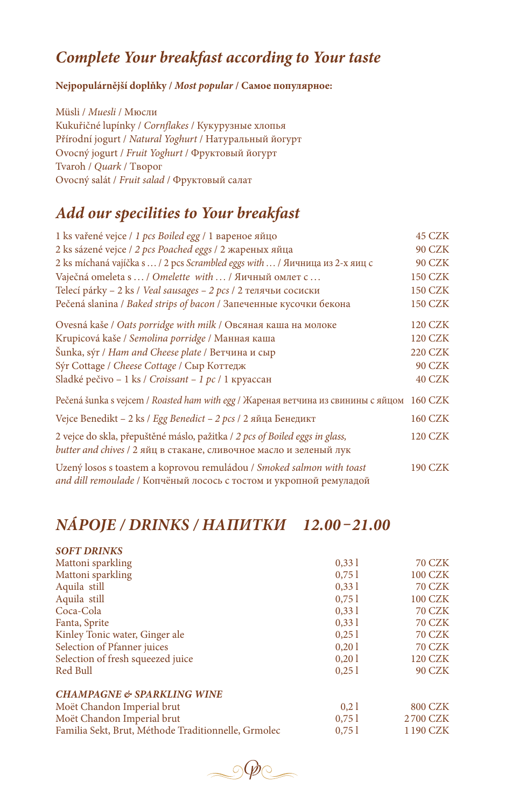## *Complete Your breakfast according to Your taste*

#### **Nejpopulárnější doplňky /** *Most popular* **/ Самое популярное:**

Müsli / *Muesli* / Мюсли Kukuřičné lupínky / *Cornflakes* / Кукурузные хлопья Přírodní jogurt / *Natural Yoghurt* / Натуральный йогурт Ovocný jogurt / *Fruit Yoghurt* / Фруктовый йогурт Tvaroh / *Quark* / Tворог Ovocný salát / *Fruit salad* / Фруктовый салат

#### *Add our specilities to Your breakfast*

| 1 ks vařené vejce / 1 pcs Boiled egg / 1 вареное яйцо                                                                                             | <b>45 CZK</b>  |
|---------------------------------------------------------------------------------------------------------------------------------------------------|----------------|
| 2 ks sázené vejce / 2 pcs Poached eggs / 2 жареных яйца                                                                                           | <b>90 CZK</b>  |
| 2 ks míchaná vajíčka s  / 2 pcs Scrambled eggs with  / Яичница из 2-х яиц с                                                                       | <b>90 CZK</b>  |
| Vaječná omeleta s  / Omelette with  / Яичный омлет с                                                                                              | <b>150 CZK</b> |
| Telecí párky - 2 ks / Veal sausages - 2 pcs / 2 телячьи сосиски                                                                                   | <b>150 CZK</b> |
| Pečená slanina / Baked strips of bacon / Запеченные кусочки бекона                                                                                | <b>150 CZK</b> |
| Ovesná kaše / Oats porridge with milk / Овсяная каша на молоке                                                                                    | <b>120 CZK</b> |
| Krupicová kaše / Semolina porridge / Манная каша                                                                                                  | <b>120 CZK</b> |
| Šunka, sýr / Ham and Cheese plate / Ветчина и сыр                                                                                                 | <b>220 CZK</b> |
| Sýr Cottage / Cheese Cottage / Сыр Коттедж                                                                                                        | <b>90 CZK</b>  |
| Sladké pečivo – 1 ks / Croissant – 1 pc / 1 круассан                                                                                              | 40 CZK         |
| Pečená šunka s vejcem / Roasted ham with egg / Жареная ветчина из свинины с яйцом 160 СZK                                                         |                |
| Vejce Benedikt - 2 ks / Egg Benedict - 2 pcs / 2 яйца Бенедикт                                                                                    | <b>160 CZK</b> |
| 2 vejce do skla, přepuštěné máslo, pažitka / 2 pcs of Boiled eggs in glass,<br>butter and chives / 2 яйц в стакане, сливочное масло и зеленый лук | <b>120 CZK</b> |
| Uzený losos s toastem a koprovou remuládou / Smoked salmon with toast<br>and dill remoulade / Копчёный лосось с тостом и укропной ремуладой       | <b>190 CZK</b> |

# *NÁPOJE / DRINKS / HАПИТКИ 12.00 –21.00*

| <b>SOFT DRINKS</b>                                  |       |                |
|-----------------------------------------------------|-------|----------------|
| Mattoni sparkling                                   | 0.331 | <b>70 CZK</b>  |
| Mattoni sparkling                                   | 0,751 | <b>100 CZK</b> |
| Aquila still                                        | 0.331 | <b>70 CZK</b>  |
| Aquila still                                        | 0,751 | <b>100 CZK</b> |
| Coca-Cola                                           | 0.331 | <b>70 CZK</b>  |
| Fanta, Sprite                                       | 0.331 | <b>70 CZK</b>  |
| Kinley Tonic water, Ginger ale                      | 0.251 | <b>70 CZK</b>  |
| Selection of Pfanner juices                         | 0,201 | <b>70 CZK</b>  |
| Selection of fresh squeezed juice                   | 0.201 | <b>120 CZK</b> |
| Red Bull                                            | 0.251 | <b>90 CZK</b>  |
| <b>CHAMPAGNE &amp; SPARKLING WINE</b>               |       |                |
| Moët Chandon Imperial brut                          | 0.21  | <b>800 CZK</b> |
| Moët Chandon Imperial brut                          | 0,751 | 2700 CZK       |
| Familia Sekt, Brut, Méthode Traditionnelle, Grmolec | 0,751 | 1190 CZK       |

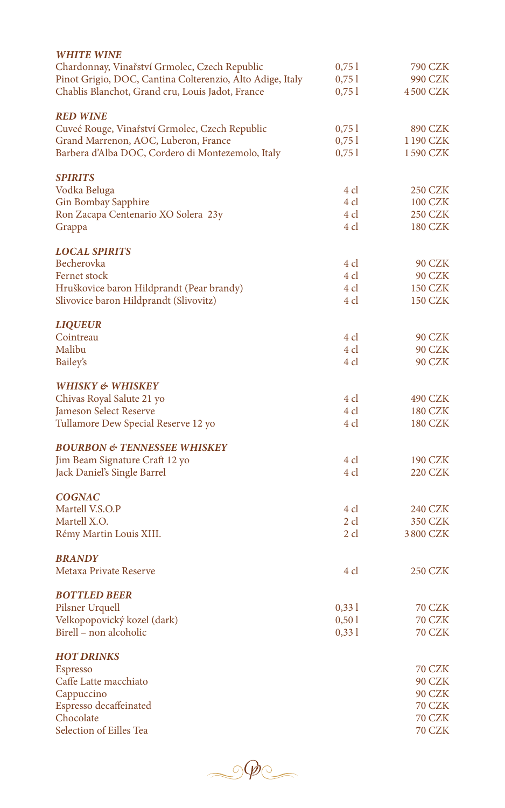| <b>WHITE WINE</b><br>Chardonnay, Vinařství Grmolec, Czech Republic                                            | 0,751          | 790 CZK                 |
|---------------------------------------------------------------------------------------------------------------|----------------|-------------------------|
| Pinot Grigio, DOC, Cantina Colterenzio, Alto Adige, Italy<br>Chablis Blanchot, Grand cru, Louis Jadot, France | 0,751<br>0,751 | 990 CZK<br>4500 CZK     |
| <b>RED WINE</b>                                                                                               |                |                         |
| Cuveé Rouge, Vinařství Grmolec, Czech Republic                                                                | 0,751          | 890 CZK                 |
| Grand Marrenon, AOC, Luberon, France                                                                          | 0,751          | 1190 CZK                |
| Barbera d'Alba DOC, Cordero di Montezemolo, Italy                                                             | 0,751          | 1590 CZK                |
| <b>SPIRITS</b>                                                                                                |                |                         |
| Vodka Beluga                                                                                                  | 4 cl           | <b>250 CZK</b>          |
| Gin Bombay Sapphire                                                                                           | 4 cl           | 100 CZK                 |
| Ron Zacapa Centenario XO Solera 23y                                                                           | 4 cl           | 250 CZK                 |
| Grappa                                                                                                        | 4 cl           | 180 CZK                 |
| <b>LOCAL SPIRITS</b>                                                                                          |                |                         |
| Becherovka                                                                                                    | 4 cl           | 90 CZK                  |
| Fernet stock                                                                                                  | 4 cl           | 90 CZK                  |
| Hruškovice baron Hildprandt (Pear brandy)                                                                     | 4 cl           | 150 CZK                 |
| Slivovice baron Hildprandt (Slivovitz)                                                                        | 4 cl           | 150 CZK                 |
| <b>LIQUEUR</b>                                                                                                |                |                         |
| Cointreau                                                                                                     | 4 cl           | <b>90 CZK</b>           |
| Malibu                                                                                                        | 4 cl           | 90 CZK                  |
| Bailey's                                                                                                      | 4 cl           | 90 CZK                  |
| WHISKY & WHISKEY                                                                                              |                |                         |
| Chivas Royal Salute 21 yo                                                                                     | 4 cl           | 490 CZK                 |
| Jameson Select Reserve                                                                                        | 4 cl           | <b>180 CZK</b>          |
| Tullamore Dew Special Reserve 12 yo                                                                           | 4 cl           | 180 CZK                 |
| <b>BOURBON &amp; TENNESSEE WHISKEY</b>                                                                        |                |                         |
| Jim Beam Signature Craft 12 yo                                                                                | 4 cl           | <b>190 CZK</b>          |
| Jack Daniel's Single Barrel                                                                                   | 4 cl           | 220 CZK                 |
| <b>COGNAC</b>                                                                                                 |                |                         |
| Martell V.S.O.P                                                                                               | 4 cl           | 240 CZK                 |
| Martell X.O.                                                                                                  | 2 cl           | 350 CZK                 |
| Rémy Martin Louis XIII.                                                                                       | 2 cl           | 3800 CZK                |
| <b>BRANDY</b>                                                                                                 |                |                         |
| Metaxa Private Reserve                                                                                        | 4 cl           | 250 CZK                 |
| <b>BOTTLED BEER</b>                                                                                           |                |                         |
| Pilsner Urquell                                                                                               | 0,331          | 70 CZK                  |
| Velkopopovický kozel (dark)                                                                                   | 0,501          | 70 CZK                  |
| Birell - non alcoholic                                                                                        | 0,331          | 70 CZK                  |
| <b>HOT DRINKS</b>                                                                                             |                |                         |
| Espresso                                                                                                      |                | 70 CZK                  |
| Caffe Latte macchiato                                                                                         |                | <b>90 CZK</b>           |
| Cappuccino<br>Espresso decaffeinated                                                                          |                | <b>90 CZK</b><br>70 CZK |
| Chocolate                                                                                                     |                | 70 CZK                  |
| Selection of Eilles Tea                                                                                       |                | 70 CZK                  |
|                                                                                                               |                |                         |

 $\circledcirc$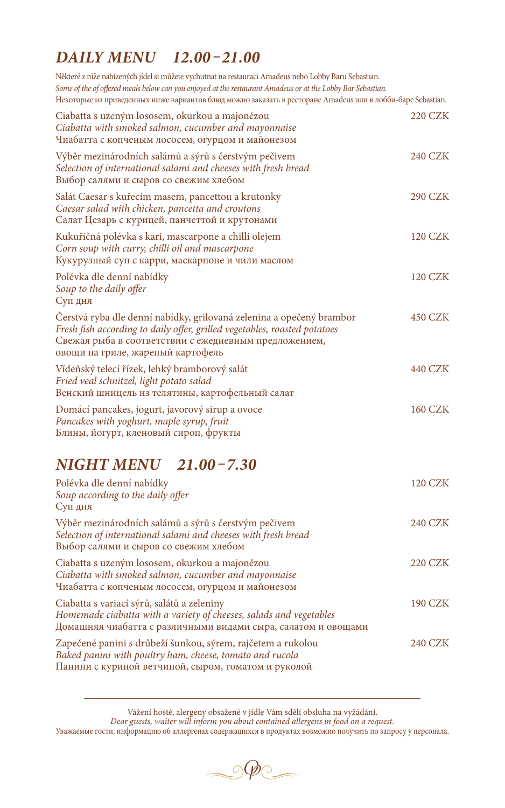# *DAILY MENU 12.00 –21.00*

Některé z níže nabízených jídel si můžete vychutnat na restauraci Amadeus nebo Lobby Baru Sebastian. *Some of the of offered meals below can you enjoyed at the restaurant Amadeus or at the Lobby Bar Sebastian.* Некоторые из приведенных ниже вариантов блюд можно заказать в ресторане Amadeus или в лобби-баре Sebastian.

| Ciabatta s uzeným lososem, okurkou a majonézou<br>Ciabatta with smoked salmon, cucumber and mayonnaise<br>Чиабатта с копченым лососем, огурцом и майонезом                                                                                      | 220 CZK        |
|-------------------------------------------------------------------------------------------------------------------------------------------------------------------------------------------------------------------------------------------------|----------------|
| Výběr mezinárodních salámů a sýrů s čerstvým pečivem<br>Selection of international salami and cheeses with fresh bread<br>Выбор салями и сыров со свежим хлебом                                                                                 | 240 CZK        |
| Salát Caesar s kuřecím masem, pancettou a krutonky<br>Caesar salad with chicken, pancetta and croutons<br>Салат Цезарь с курицей, панчеттой и крутонами                                                                                         | 290 CZK        |
| Kukuřičná polévka s kari, mascarpone a chilli olejem<br>Corn soup with curry, chilli oil and mascarpone<br>Кукурузный суп с карри, маскарпоне и чили маслом                                                                                     | 120 CZK        |
| Polévka dle denní nabídky<br>Soup to the daily offer<br>Суп дня                                                                                                                                                                                 | <b>120 CZK</b> |
| Čerstvá ryba dle denní nabídky, grilovaná zelenina a opečený brambor<br>Fresh fish according to daily offer, grilled vegetables, roasted potatoes<br>Свежая рыба в соответствии с ежедневным предложением,<br>овощи на гриле, жареный картофель | <b>450 CZK</b> |
| Vídeňský telecí řízek, lehký bramborový salát<br>Fried veal schnitzel, light potato salad<br>Венский шницель из телятины, картофельный салат                                                                                                    | 440 CZK        |
| Domácí pancakes, jogurt, javorový sirup a ovoce<br>Pancakes with yoghurt, maple syrup, fruit<br>Блины, йогурт, кленовый сироп, фрукты                                                                                                           | <b>160 CZK</b> |

# *NIGHT MENU 21.00 –7.30*

| Polévka dle denní nabídky<br>Soup according to the daily offer<br>Суп дня                                                                                                         | <b>120 CZK</b> |
|-----------------------------------------------------------------------------------------------------------------------------------------------------------------------------------|----------------|
| Výběr mezinárodních salámů a sýrů s čerstvým pečivem<br>Selection of international salami and cheeses with fresh bread<br>Выбор салями и сыров со свежим хлебом                   | 240 CZK        |
| Ciabatta s uzeným lososem, okurkou a majonézou<br>Ciabatta with smoked salmon, cucumber and mayonnaise<br>Чиабатта с копченым лососем, огурцом и майонезом                        | 220 CZK        |
| Ciabatta s variací sýrů, salátů a zeleniny<br>Homemade ciabatta with a variety of cheeses, salads and vegetables<br>Домашняя чиабатта с различными видами сыра, салатом и овощами | <b>190 CZK</b> |
| Zapečené panini s drůbeží šunkou, sýrem, rajčetem a rukolou<br>Baked panini with poultry ham, cheese, tomato and rucola<br>Панини с куриной ветчиной, сыром, томатом и руколой    | <b>240 CZK</b> |

Vážení hosté, alergeny obsažené v jídle Vám sdělí obsluha na vyžádání. *Dear guests, waiter will inform you about contained allergens in food on a request.*

Уважаемые гости, информацию об аллергенах содержащихся в продуктах возможно получить по запросу у персонала.

 $\circledcirc$